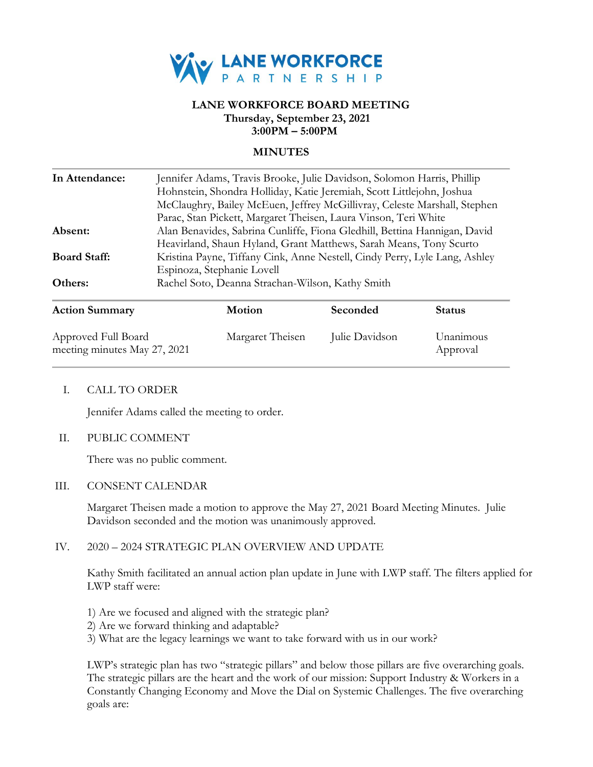

## **LANE WORKFORCE BOARD MEETING Thursday, September 23, 2021 3:00PM – 5:00PM**

## **MINUTES**

| In Attendance:        | Jennifer Adams, Travis Brooke, Julie Davidson, Solomon Harris, Phillip     |          |               |  |
|-----------------------|----------------------------------------------------------------------------|----------|---------------|--|
|                       | Hohnstein, Shondra Holliday, Katie Jeremiah, Scott Littlejohn, Joshua      |          |               |  |
|                       | McClaughry, Bailey McEuen, Jeffrey McGillivray, Celeste Marshall, Stephen  |          |               |  |
|                       | Parac, Stan Pickett, Margaret Theisen, Laura Vinson, Teri White            |          |               |  |
| Absent:               | Alan Benavides, Sabrina Cunliffe, Fiona Gledhill, Bettina Hannigan, David  |          |               |  |
|                       | Heavirland, Shaun Hyland, Grant Matthews, Sarah Means, Tony Scurto         |          |               |  |
| <b>Board Staff:</b>   | Kristina Payne, Tiffany Cink, Anne Nestell, Cindy Perry, Lyle Lang, Ashley |          |               |  |
|                       | Espinoza, Stephanie Lovell                                                 |          |               |  |
| Others:               | Rachel Soto, Deanna Strachan-Wilson, Kathy Smith                           |          |               |  |
| <b>Action Summary</b> | <b>Motion</b>                                                              | Seconded | <b>Status</b> |  |
|                       |                                                                            |          |               |  |

| Approved Full Board<br>meeting minutes May 27, 2021 | Margaret Theisen | Julie Davidson | Unanimous<br>Approval |
|-----------------------------------------------------|------------------|----------------|-----------------------|

### I. CALL TO ORDER

Jennifer Adams called the meeting to order.

### II. PUBLIC COMMENT

There was no public comment.

### III. CONSENT CALENDAR

Margaret Theisen made a motion to approve the May 27, 2021 Board Meeting Minutes. Julie Davidson seconded and the motion was unanimously approved.

## IV. 2020 – 2024 STRATEGIC PLAN OVERVIEW AND UPDATE

Kathy Smith facilitated an annual action plan update in June with LWP staff. The filters applied for LWP staff were:

- 1) Are we focused and aligned with the strategic plan?
- 2) Are we forward thinking and adaptable?
- 3) What are the legacy learnings we want to take forward with us in our work?

LWP's strategic plan has two "strategic pillars" and below those pillars are five overarching goals. The strategic pillars are the heart and the work of our mission: Support Industry & Workers in a Constantly Changing Economy and Move the Dial on Systemic Challenges. The five overarching goals are: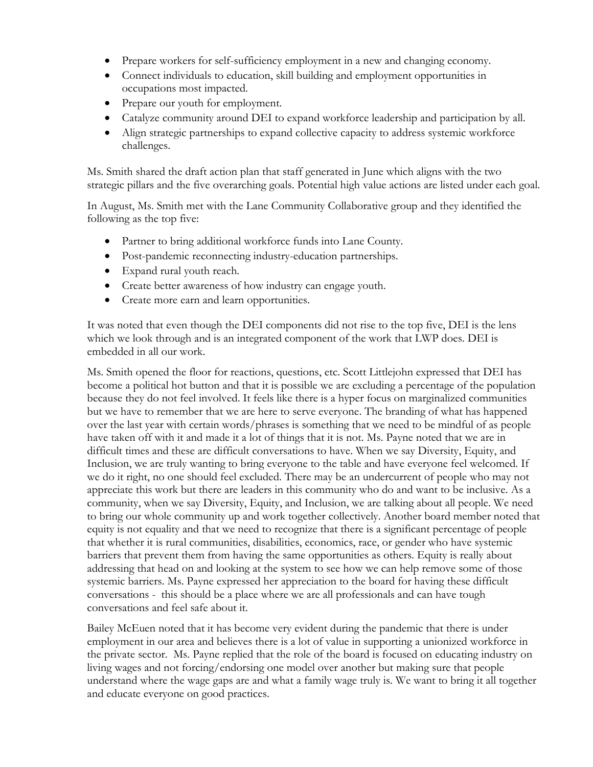- Prepare workers for self-sufficiency employment in a new and changing economy.
- Connect individuals to education, skill building and employment opportunities in occupations most impacted.
- Prepare our youth for employment.
- Catalyze community around DEI to expand workforce leadership and participation by all.
- Align strategic partnerships to expand collective capacity to address systemic workforce challenges.

Ms. Smith shared the draft action plan that staff generated in June which aligns with the two strategic pillars and the five overarching goals. Potential high value actions are listed under each goal.

In August, Ms. Smith met with the Lane Community Collaborative group and they identified the following as the top five:

- Partner to bring additional workforce funds into Lane County.
- Post-pandemic reconnecting industry-education partnerships.
- Expand rural youth reach.
- Create better awareness of how industry can engage youth.
- Create more earn and learn opportunities.

It was noted that even though the DEI components did not rise to the top five, DEI is the lens which we look through and is an integrated component of the work that LWP does. DEI is embedded in all our work.

Ms. Smith opened the floor for reactions, questions, etc. Scott Littlejohn expressed that DEI has become a political hot button and that it is possible we are excluding a percentage of the population because they do not feel involved. It feels like there is a hyper focus on marginalized communities but we have to remember that we are here to serve everyone. The branding of what has happened over the last year with certain words/phrases is something that we need to be mindful of as people have taken off with it and made it a lot of things that it is not. Ms. Payne noted that we are in difficult times and these are difficult conversations to have. When we say Diversity, Equity, and Inclusion, we are truly wanting to bring everyone to the table and have everyone feel welcomed. If we do it right, no one should feel excluded. There may be an undercurrent of people who may not appreciate this work but there are leaders in this community who do and want to be inclusive. As a community, when we say Diversity, Equity, and Inclusion, we are talking about all people. We need to bring our whole community up and work together collectively. Another board member noted that equity is not equality and that we need to recognize that there is a significant percentage of people that whether it is rural communities, disabilities, economics, race, or gender who have systemic barriers that prevent them from having the same opportunities as others. Equity is really about addressing that head on and looking at the system to see how we can help remove some of those systemic barriers. Ms. Payne expressed her appreciation to the board for having these difficult conversations - this should be a place where we are all professionals and can have tough conversations and feel safe about it.

Bailey McEuen noted that it has become very evident during the pandemic that there is under employment in our area and believes there is a lot of value in supporting a unionized workforce in the private sector. Ms. Payne replied that the role of the board is focused on educating industry on living wages and not forcing/endorsing one model over another but making sure that people understand where the wage gaps are and what a family wage truly is. We want to bring it all together and educate everyone on good practices.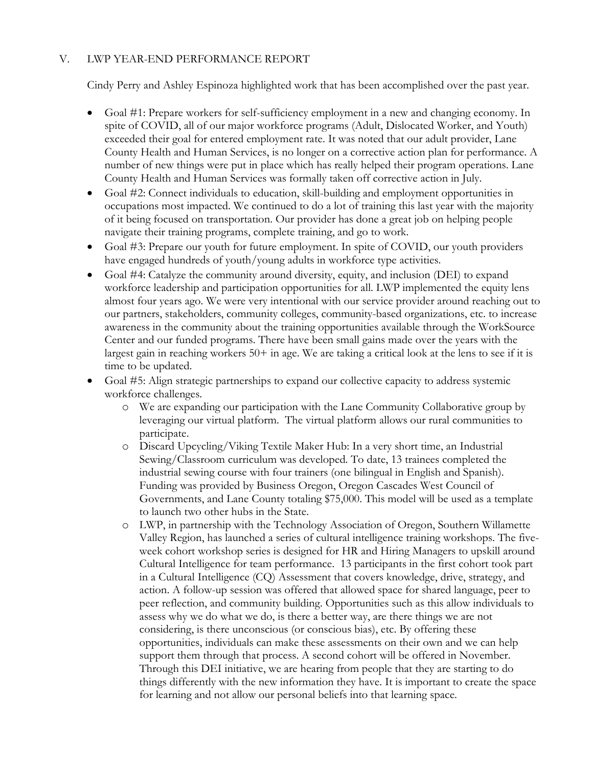# V. LWP YEAR-END PERFORMANCE REPORT

Cindy Perry and Ashley Espinoza highlighted work that has been accomplished over the past year.

- Goal #1: Prepare workers for self-sufficiency employment in a new and changing economy. In spite of COVID, all of our major workforce programs (Adult, Dislocated Worker, and Youth) exceeded their goal for entered employment rate. It was noted that our adult provider, Lane County Health and Human Services, is no longer on a corrective action plan for performance. A number of new things were put in place which has really helped their program operations. Lane County Health and Human Services was formally taken off corrective action in July.
- Goal #2: Connect individuals to education, skill-building and employment opportunities in occupations most impacted. We continued to do a lot of training this last year with the majority of it being focused on transportation. Our provider has done a great job on helping people navigate their training programs, complete training, and go to work.
- Goal #3: Prepare our youth for future employment. In spite of COVID, our youth providers have engaged hundreds of youth/young adults in workforce type activities.
- Goal #4: Catalyze the community around diversity, equity, and inclusion (DEI) to expand workforce leadership and participation opportunities for all. LWP implemented the equity lens almost four years ago. We were very intentional with our service provider around reaching out to our partners, stakeholders, community colleges, community-based organizations, etc. to increase awareness in the community about the training opportunities available through the WorkSource Center and our funded programs. There have been small gains made over the years with the largest gain in reaching workers 50+ in age. We are taking a critical look at the lens to see if it is time to be updated.
- Goal #5: Align strategic partnerships to expand our collective capacity to address systemic workforce challenges.
	- o We are expanding our participation with the Lane Community Collaborative group by leveraging our virtual platform. The virtual platform allows our rural communities to participate.
	- o Discard Upcycling/Viking Textile Maker Hub: In a very short time, an Industrial Sewing/Classroom curriculum was developed. To date, 13 trainees completed the industrial sewing course with four trainers (one bilingual in English and Spanish). Funding was provided by Business Oregon, Oregon Cascades West Council of Governments, and Lane County totaling \$75,000. This model will be used as a template to launch two other hubs in the State.
	- o LWP, in partnership with the Technology Association of Oregon, Southern Willamette Valley Region, has launched a series of cultural intelligence training workshops. The fiveweek cohort workshop series is designed for HR and Hiring Managers to upskill around Cultural Intelligence for team performance. 13 participants in the first cohort took part in a Cultural Intelligence (CQ) Assessment that covers knowledge, drive, strategy, and action. A follow-up session was offered that allowed space for shared language, peer to peer reflection, and community building. Opportunities such as this allow individuals to assess why we do what we do, is there a better way, are there things we are not considering, is there unconscious (or conscious bias), etc. By offering these opportunities, individuals can make these assessments on their own and we can help support them through that process. A second cohort will be offered in November. Through this DEI initiative, we are hearing from people that they are starting to do things differently with the new information they have. It is important to create the space for learning and not allow our personal beliefs into that learning space.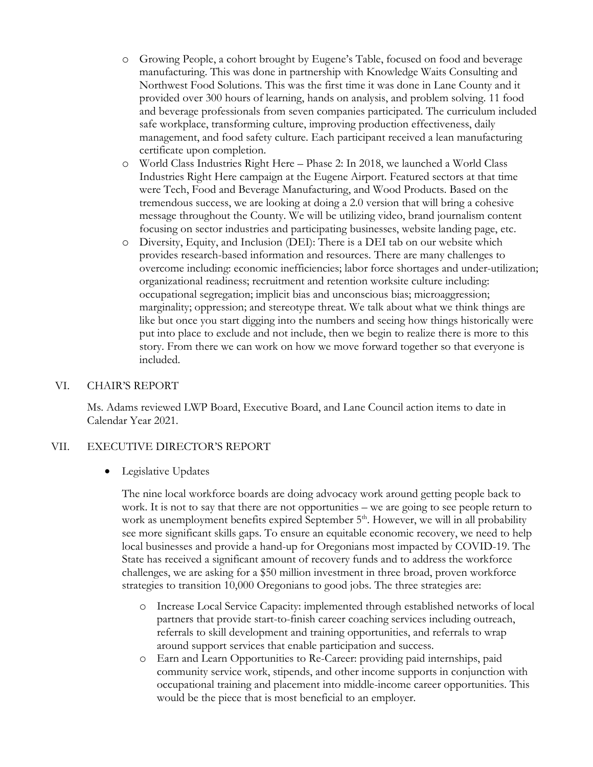- o Growing People, a cohort brought by Eugene's Table, focused on food and beverage manufacturing. This was done in partnership with Knowledge Waits Consulting and Northwest Food Solutions. This was the first time it was done in Lane County and it provided over 300 hours of learning, hands on analysis, and problem solving. 11 food and beverage professionals from seven companies participated. The curriculum included safe workplace, transforming culture, improving production effectiveness, daily management, and food safety culture. Each participant received a lean manufacturing certificate upon completion.
- o World Class Industries Right Here Phase 2: In 2018, we launched a World Class Industries Right Here campaign at the Eugene Airport. Featured sectors at that time were Tech, Food and Beverage Manufacturing, and Wood Products. Based on the tremendous success, we are looking at doing a 2.0 version that will bring a cohesive message throughout the County. We will be utilizing video, brand journalism content focusing on sector industries and participating businesses, website landing page, etc.
- o Diversity, Equity, and Inclusion (DEI): There is a DEI tab on our website which provides research-based information and resources. There are many challenges to overcome including: economic inefficiencies; labor force shortages and under-utilization; organizational readiness; recruitment and retention worksite culture including: occupational segregation; implicit bias and unconscious bias; microaggression; marginality; oppression; and stereotype threat. We talk about what we think things are like but once you start digging into the numbers and seeing how things historically were put into place to exclude and not include, then we begin to realize there is more to this story. From there we can work on how we move forward together so that everyone is included.

### VI. CHAIR'S REPORT

Ms. Adams reviewed LWP Board, Executive Board, and Lane Council action items to date in Calendar Year 2021.

### VII. EXECUTIVE DIRECTOR'S REPORT

• Legislative Updates

The nine local workforce boards are doing advocacy work around getting people back to work. It is not to say that there are not opportunities – we are going to see people return to work as unemployment benefits expired September  $5<sup>th</sup>$ . However, we will in all probability see more significant skills gaps. To ensure an equitable economic recovery, we need to help local businesses and provide a hand-up for Oregonians most impacted by COVID-19. The State has received a significant amount of recovery funds and to address the workforce challenges, we are asking for a \$50 million investment in three broad, proven workforce strategies to transition 10,000 Oregonians to good jobs. The three strategies are:

- o Increase Local Service Capacity: implemented through established networks of local partners that provide start-to-finish career coaching services including outreach, referrals to skill development and training opportunities, and referrals to wrap around support services that enable participation and success.
- o Earn and Learn Opportunities to Re-Career: providing paid internships, paid community service work, stipends, and other income supports in conjunction with occupational training and placement into middle-income career opportunities. This would be the piece that is most beneficial to an employer.